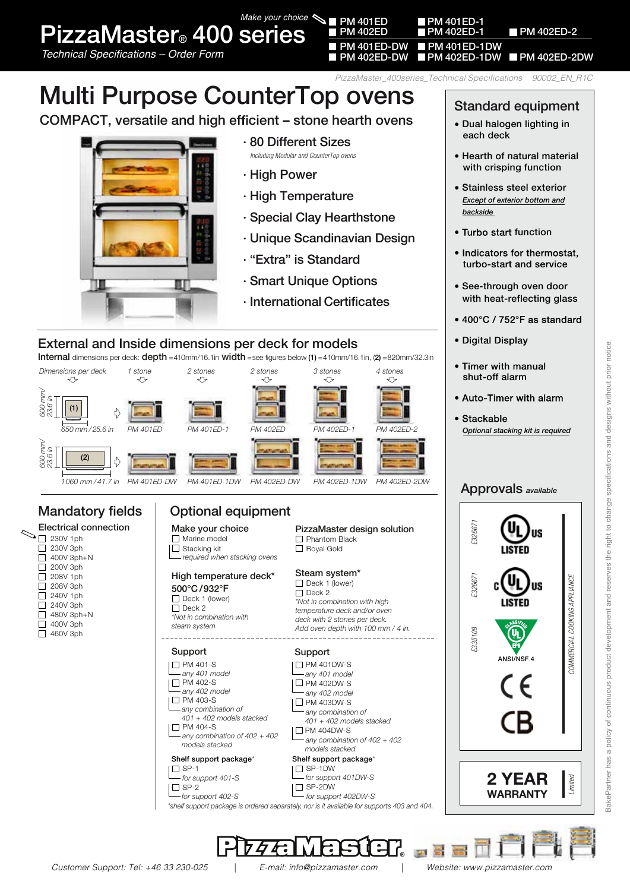PizzaMaster® 400 series *Make your choice*

Technical Specifications – Order Form **PM 1999 PM 402ED-DW PM 402ED-1DW** PM 402ED-2DW

*PizzaMaster\_400series\_Technical Specifications 90002\_EN\_R1C*

PM 401ED-DW ■ PM 401ED-1DW<br>PM 402ED-DW ■ PM 402ED-1DW

**PM 401ED-1** 

# Multi Purpose CounterTop ovens

COMPACT, versatile and high efficient – stone hearth ovens



#### · 80 Different Sizes

 *Including Modular and CounterTop ovens*

- · High Power
- · High Temperature
- · Special Clay Hearthstone
- · Unique Scandinavian Design
- · "Extra" is Standard
- · Smart Unique Options
- · International Certificates

#### External and Inside dimensions per deck for models

Internal dimensions per deck: **depth** =410mm/16.1in width =see figures below (1) =410mm/16.1in, (2) =820mm/32.3in



#### Mandatory fields Electrical connection  $\bigcirc$   $\frac{1}{2}$  230V 1ph 230V 3ph

 $\Box$  400V 3ph+N  $\Box$  200V 3ph 208V 1ph  $\overline{\square}$  208V 3ph  $\Box$ 240V 1ph  $\Box$ 240V 3ph 480V 3ph+ N  $\Box$  $\Box$ 400V 3ph  $\overline{\square}$  460V 3ph

## Optional equipment

 $\Box$  Marine model |□ Stacking kit  *required when stacking ovens* Make your choice

## High temperature deck\*

500°C/932°F  $\Box$  Deck 1 (lower)  $\Box$  Deck 2 *\*Not in combination with*

*steam system*

#### Support

- **D** PM 401-S *any 401 model*
- $\square$  PM 402-S *any 402 model*
- $\square$  PM 403-S  *any combination of*
- *401 + 402 models stacked*  $\square$  PM 404-S
- *any combination of 402 + 402 models stacked*





#### **Phantom Black** □ Royal Gold

Steam system\*  $\Box$  Deck 1 (lower)  $\Box$  Deck 2 *\*Not in combination with high temperature deck and/or oven deck with 2 stones per deck. Add oven depth with 100 mm / 4 in.*

# Support

**| □ PM 401DW-S**  *any 401 model*  $|\Box$  PM 402DW-S *any 402 model* In PM 403DW-S *any combination of 401 + 402 models stacked*  $\Box$  PM 404DW-S *any combination of 402 + 402* 

#### Shelf support package\* Shelf support package\* SP-1DW  *models stacked*

 *for support 401DW-S* I□ SP-2DW



*\*shelf support package is ordered separately, nor is it available for supports 403 and 404.*

### Standard equipment

- Dual halogen lighting in each deck
- Hearth of natural material with crisping function
- Stainless steel exterior  *Except of exterior bottom and backside*
- Turbo start function
- . Indicators for thermostat. turbo-start and service
- See-through oven door with heat-reflecting glass
- 400°C / 752°F as standard
- · Digital Display
- Timer with manual shut-off alarm
- Auto-Timer with alarm
- · Stackable  *Optional stacking kit is required*

#### Approvals *available*



医耳

#### PM 402ED PM 402ED-1 PM 402ED-2